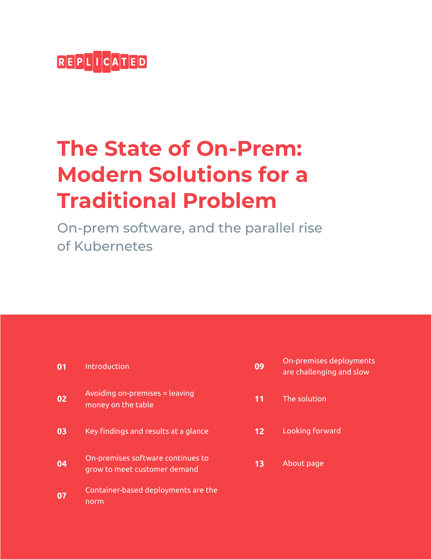

# **The State of On-Prem: Modern Solutions for a Traditional Problem**

On-prem software, and the parallel rise of Kubernetes

| 01 | Introduction                                                      |
|----|-------------------------------------------------------------------|
| 02 | Avoiding on-premises = leaving<br>money on the table              |
| 03 | Key findings and results at a glance                              |
| 04 | On-premises software continues to<br>grow to meet customer demand |
| 07 | Container-based deployments are the<br>norm                       |

| 09 | On-premises deployments<br>are challenging and slow |
|----|-----------------------------------------------------|
| 11 | The solution                                        |
| 12 | Looking forward                                     |
| 13 | About page                                          |
|    |                                                     |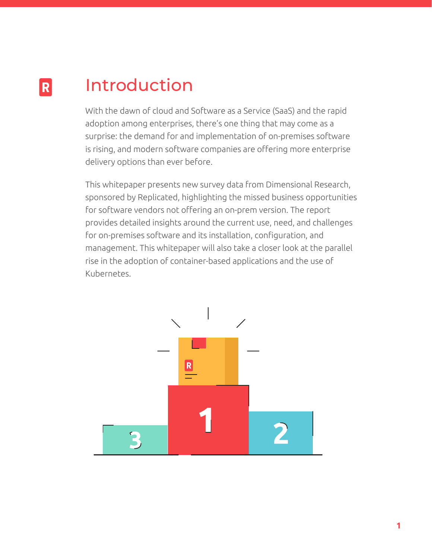#### Introduction  $|R|$

With the dawn of cloud and Software as a Service (SaaS) and the rapid adoption among enterprises, there's one thing that may come as a surprise: the demand for and implementation of on-premises software is rising, and modern software companies are offering more enterprise delivery options than ever before.

This whitepaper presents new survey data from Dimensional Research, sponsored by Replicated, highlighting the missed business opportunities for software vendors not offering an on-prem version. The report provides detailed insights around the current use, need, and challenges for on-premises software and its installation, configuration, and management. This whitepaper will also take a closer look at the parallel rise in the adoption of container-based applications and the use of Kubernetes.

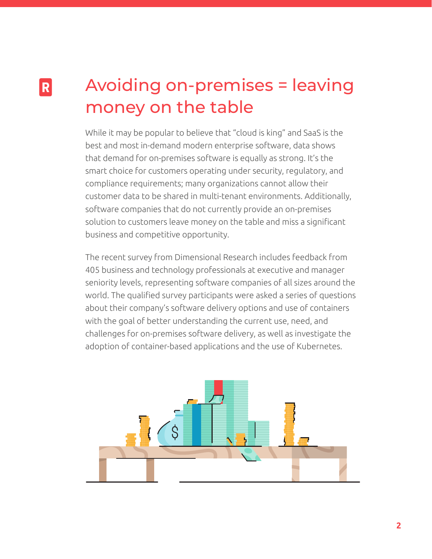### Avoiding on-premises = leaving money on the table

R.

While it may be popular to believe that "cloud is king" and SaaS is the best and most in-demand modern enterprise software, data shows that demand for on-premises software is equally as strong. It's the smart choice for customers operating under security, regulatory, and compliance requirements; many organizations cannot allow their customer data to be shared in multi-tenant environments. Additionally, software companies that do not currently provide an on-premises solution to customers leave money on the table and miss a significant business and competitive opportunity.

The recent survey from Dimensional Research includes feedback from 405 business and technology professionals at executive and manager seniority levels, representing software companies of all sizes around the world. The qualified survey participants were asked a series of questions about their company's software delivery options and use of containers with the goal of better understanding the current use, need, and challenges for on-premises software delivery, as well as investigate the adoption of container-based applications and the use of Kubernetes.

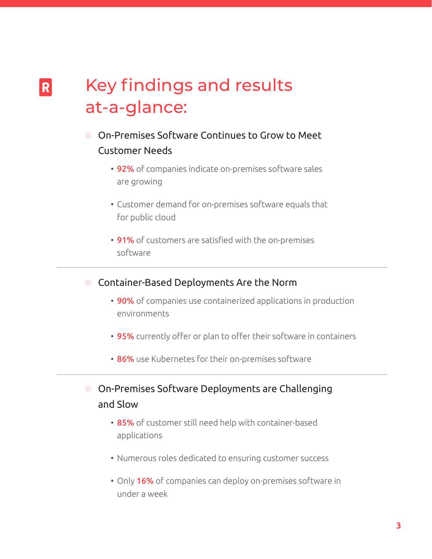### Key findings and results at-a-glance:

 $|R|$ 

- On-Premises Software Continues to Grow to Meet Customer Needs
	- 92% of companies indicate on-premises software sales are growing
	- Customer demand for on-premises software equals that for public cloud
	- 91% of customers are satisfied with the on-premises software

**Container-Based Deployments Are the Norm** 

- 90% of companies use containerized applications in production environments
- 95% currently offer or plan to offer their software in containers
- 86% use Kubernetes for their on-premises software
- On-Premises Software Deployments are Challenging and Slow
	- 85% of customer still need help with container-based applications
	- Numerous roles dedicated to ensuring customer success
	- Only 16% of companies can deploy on-premises software in under a week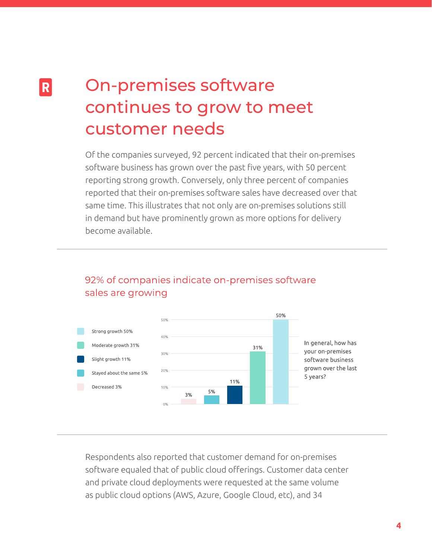### On-premises software continues to grow to meet customer needs

 $|R|$ 

Of the companies surveyed, 92 percent indicated that their on-premises software business has grown over the past five years, with 50 percent reporting strong growth. Conversely, only three percent of companies reported that their on-premises software sales have decreased over that same time. This illustrates that not only are on-premises solutions still in demand but have prominently grown as more options for delivery become available.

#### 92% of companies indicate on-premises software sales are growing



Respondents also reported that customer demand for on-premises software equaled that of public cloud offerings. Customer data center and private cloud deployments were requested at the same volume as public cloud options (AWS, Azure, Google Cloud, etc), and 34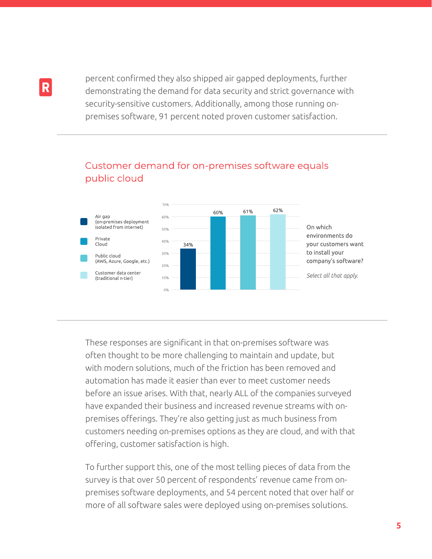percent confirmed they also shipped air gapped deployments, further demonstrating the demand for data security and strict governance with security-sensitive customers. Additionally, among those running onpremises software, 91 percent noted proven customer satisfaction.



#### Customer demand for on-premises software equals public cloud

These responses are significant in that on-premises software was often thought to be more challenging to maintain and update, but with modern solutions, much of the friction has been removed and automation has made it easier than ever to meet customer needs before an issue arises. With that, nearly ALL of the companies surveyed have expanded their business and increased revenue streams with onpremises offerings. They're also getting just as much business from customers needing on-premises options as they are cloud, and with that offering, customer satisfaction is high.

To further support this, one of the most telling pieces of data from the survey is that over 50 percent of respondents' revenue came from onpremises software deployments, and 54 percent noted that over half or more of all software sales were deployed using on-premises solutions.

R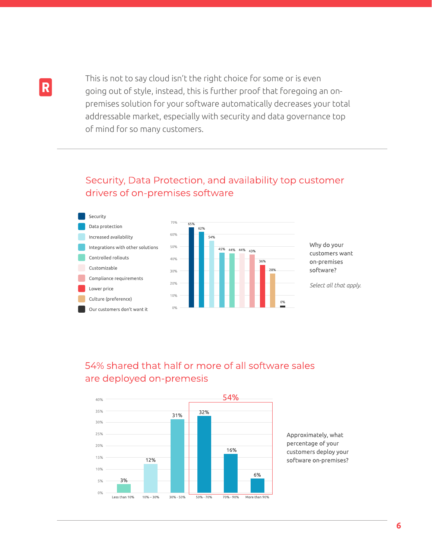R

This is not to say cloud isn't the right choice for some or is even going out of style, instead, this is further proof that foregoing an onpremises solution for your software automatically decreases your total addressable market, especially with security and data governance top of mind for so many customers.

#### Security, Data Protection, and availability top customer drivers of on-premises software



#### 54% shared that half or more of all software sales are deployed on-premesis



Approximately, what percentage of your customers deploy your software on-premises?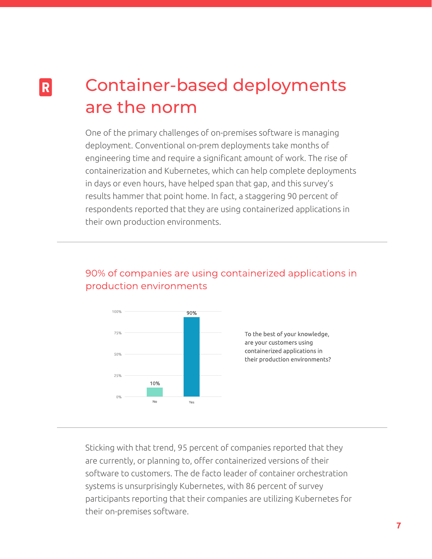### Container-based deployments are the norm

R.

One of the primary challenges of on-premises software is managing deployment. Conventional on-prem deployments take months of engineering time and require a significant amount of work. The rise of containerization and Kubernetes, which can help complete deployments in days or even hours, have helped span that gap, and this survey's results hammer that point home. In fact, a staggering 90 percent of respondents reported that they are using containerized applications in their own production environments.

#### 90% of companies are using containerized applications in production environments



Sticking with that trend, 95 percent of companies reported that they are currently, or planning to, offer containerized versions of their software to customers. The de facto leader of container orchestration systems is unsurprisingly Kubernetes, with 86 percent of survey participants reporting that their companies are utilizing Kubernetes for their on-premises software.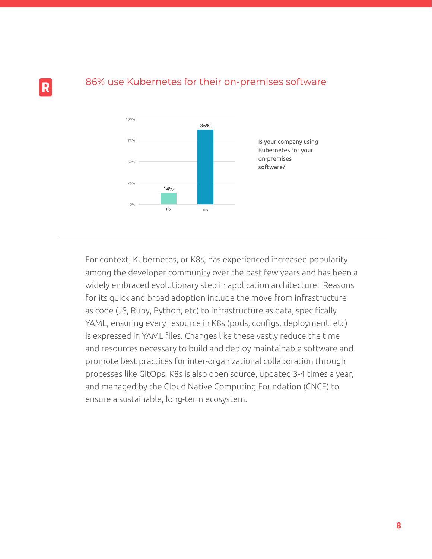

#### 86% use Kubernetes for their on-premises software

R

For context, Kubernetes, or K8s, has experienced increased popularity among the developer community over the past few years and has been a widely embraced evolutionary step in application architecture. Reasons for its quick and broad adoption include the move from infrastructure as code (JS, Ruby, Python, etc) to infrastructure as data, specifically YAML, ensuring every resource in K8s (pods, configs, deployment, etc) is expressed in YAML files. Changes like these vastly reduce the time and resources necessary to build and deploy maintainable software and promote best practices for inter-organizational collaboration through processes like GitOps. K8s is also open source, updated 3-4 times a year, and managed by the Cloud Native Computing Foundation (CNCF) to ensure a sustainable, long-term ecosystem.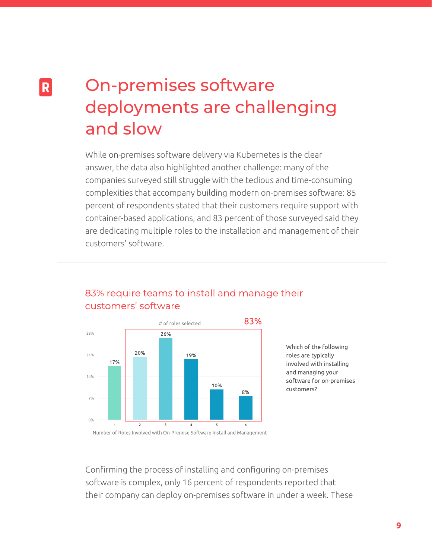## On-premises software deployments are challenging and slow

R.

While on-premises software delivery via Kubernetes is the clear answer, the data also highlighted another challenge: many of the companies surveyed still struggle with the tedious and time-consuming complexities that accompany building modern on-premises software: 85 percent of respondents stated that their customers require support with container-based applications, and 83 percent of those surveyed said they are dedicating multiple roles to the installation and management of their customers' software.



#### 83% require teams to install and manage their customers' software

Which of the following roles are typically involved with installing and managing your software for on-premises customers?

Confirming the process of installing and configuring on-premises software is complex, only 16 percent of respondents reported that their company can deploy on-premises software in under a week. These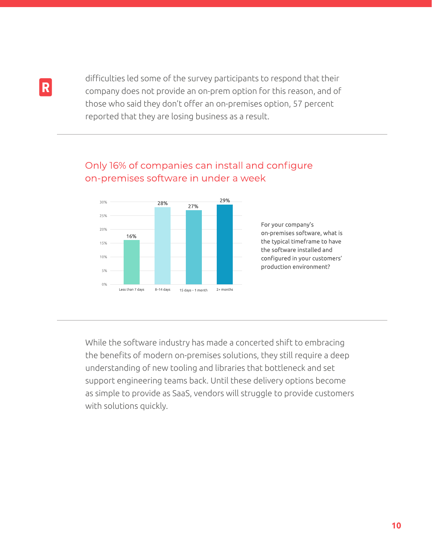difficulties led some of the survey participants to respond that their company does not provide an on-prem option for this reason, and of those who said they don't offer an on-premises option, 57 percent reported that they are losing business as a result.

#### Only 16% of companies can install and configure on-premises software in under a week



#### For your company's on-premises software, what is the typical timeframe to have the software installed and configured in your customers' production environment?

While the software industry has made a concerted shift to embracing the benefits of modern on-premises solutions, they still require a deep understanding of new tooling and libraries that bottleneck and set support engineering teams back. Until these delivery options become as simple to provide as SaaS, vendors will struggle to provide customers with solutions quickly.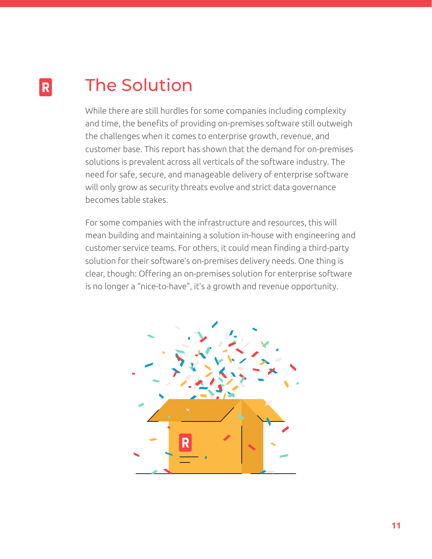#### The Solution  $|R|$

While there are still hurdles for some companies including complexity and time, the benefits of providing on-premises software still outweigh the challenges when it comes to enterprise growth, revenue, and customer base. This report has shown that the demand for on-premises solutions is prevalent across all verticals of the software industry. The need for safe, secure, and manageable delivery of enterprise software will only grow as security threats evolve and strict data governance becomes table stakes.

For some companies with the infrastructure and resources, this will mean building and maintaining a solution in-house with engineering and customer service teams. For others, it could mean finding a third-party solution for their software's on-premises delivery needs. One thing is clear, though: Offering an on-premises solution for enterprise software is no longer a "nice-to-have", it's a growth and revenue opportunity.

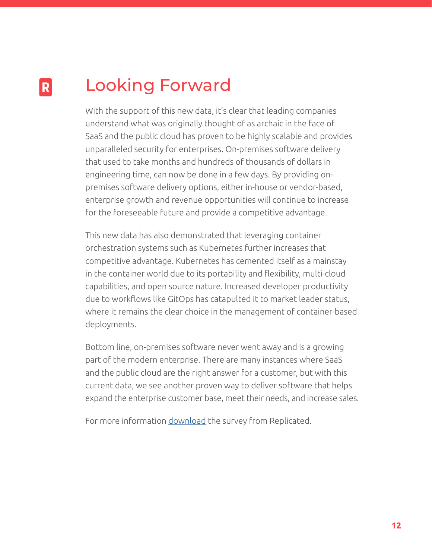#### Looking Forward  $|R|$

With the support of this new data, it's clear that leading companies understand what was originally thought of as archaic in the face of SaaS and the public cloud has proven to be highly scalable and provides unparalleled security for enterprises. On-premises software delivery that used to take months and hundreds of thousands of dollars in engineering time, can now be done in a few days. By providing onpremises software delivery options, either in-house or vendor-based, enterprise growth and revenue opportunities will continue to increase for the foreseeable future and provide a competitive advantage.

This new data has also demonstrated that leveraging container orchestration systems such as Kubernetes further increases that competitive advantage. Kubernetes has cemented itself as a mainstay in the container world due to its portability and flexibility, multi-cloud capabilities, and open source nature. Increased developer productivity due to workflows like GitOps has catapulted it to market leader status, where it remains the clear choice in the management of container-based deployments.

Bottom line, on-premises software never went away and is a growing part of the modern enterprise. There are many instances where SaaS and the public cloud are the right answer for a customer, but with this current data, we see another proven way to deliver software that helps expand the enterprise customer base, meet their needs, and increase sales.

For more information [download](https://info.replicated.com/state-of-on-prem-report?hs_preview=ZhCOepXB-46278761777) the survey from Replicated.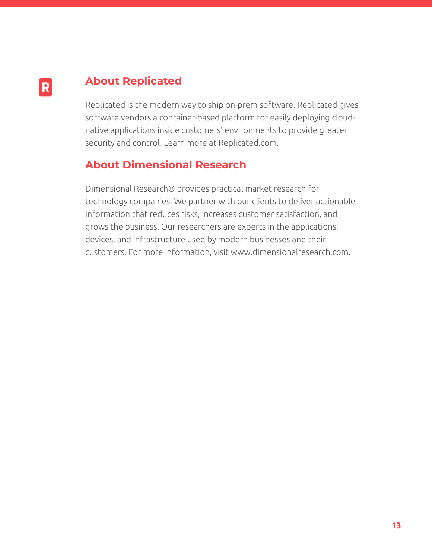### **About Replicated**

 $|R|$ 

Replicated is the modern way to ship on-prem software. Replicated gives software vendors a container-based platform for easily deploying cloudnative applications inside customers' environments to provide greater security and control. Learn more at Replicated.com.

#### **About Dimensional Research**

Dimensional Research® provides practical market research for technology companies. We partner with our clients to deliver actionable information that reduces risks, increases customer satisfaction, and grows the business. Our researchers are experts in the applications, devices, and infrastructure used by modern businesses and their customers. For more information, visit www.dimensionalresearch.com.